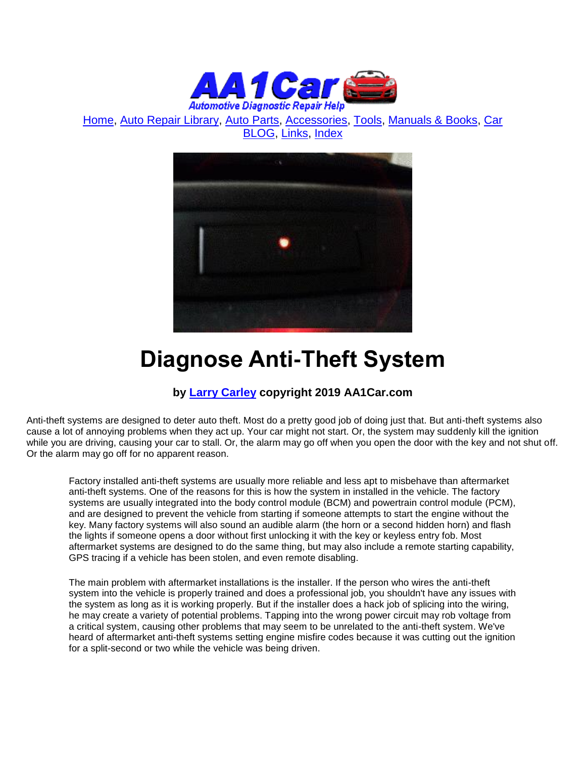

[Home,](http://www.aa1car.com/index.html) [Auto Repair Library,](http://www.aa1car.com/library.htm) [Auto Parts,](http://www.aa1car.com/links_parts.htm) [Accessories,](http://www.aa1car.com/auto-accessories.html) [Tools,](http://www.aa1car.com/links_tools.htm) [Manuals & Books,](http://www.aa1car.com/links_books.htm) [Car](http://www.aa1car.com/blog/blog.htm)  [BLOG,](http://www.aa1car.com/blog/blog.htm) [Links,](http://www.aa1car.com/links.htm) [Index](http://www.aa1car.com/index_alphabetical.htm)



# **Diagnose Anti-Theft System**

# **by [Larry Carley](https://www.aa1car.com/larrypage/larrycarley_photos.htm) copyright 2019 AA1Car.com**

Anti-theft systems are designed to deter auto theft. Most do a pretty good job of doing just that. But anti-theft systems also cause a lot of annoying problems when they act up. Your car might not start. Or, the system may suddenly kill the ignition while you are driving, causing your car to stall. Or, the alarm may go off when you open the door with the key and not shut off. Or the alarm may go off for no apparent reason.

Factory installed anti-theft systems are usually more reliable and less apt to misbehave than aftermarket anti-theft systems. One of the reasons for this is how the system in installed in the vehicle. The factory systems are usually integrated into the body control module (BCM) and powertrain control module (PCM), and are designed to prevent the vehicle from starting if someone attempts to start the engine without the key. Many factory systems will also sound an audible alarm (the horn or a second hidden horn) and flash the lights if someone opens a door without first unlocking it with the key or keyless entry fob. Most aftermarket systems are designed to do the same thing, but may also include a remote starting capability, GPS tracing if a vehicle has been stolen, and even remote disabling.

The main problem with aftermarket installations is the installer. If the person who wires the anti-theft system into the vehicle is properly trained and does a professional job, you shouldn't have any issues with the system as long as it is working properly. But if the installer does a hack job of splicing into the wiring, he may create a variety of potential problems. Tapping into the wrong power circuit may rob voltage from a critical system, causing other problems that may seem to be unrelated to the anti-theft system. We've heard of aftermarket anti-theft systems setting engine misfire codes because it was cutting out the ignition for a split-second or two while the vehicle was being driven.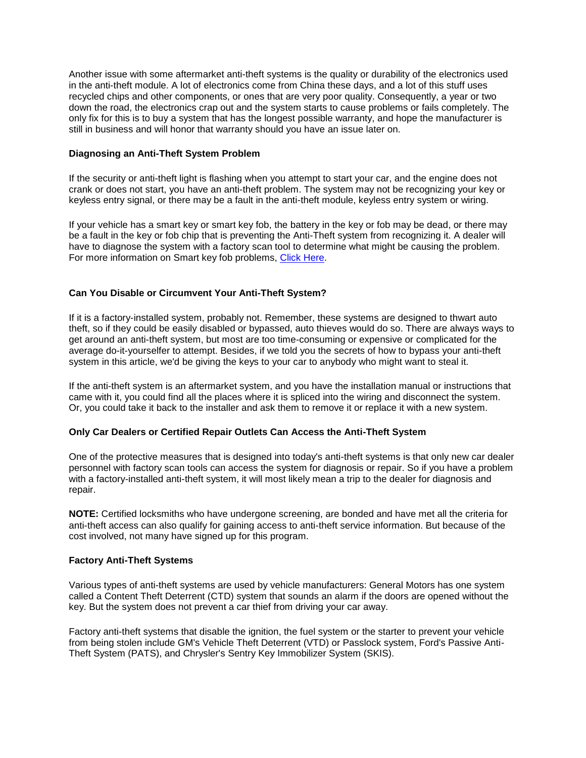Another issue with some aftermarket anti-theft systems is the quality or durability of the electronics used in the anti-theft module. A lot of electronics come from China these days, and a lot of this stuff uses recycled chips and other components, or ones that are very poor quality. Consequently, a year or two down the road, the electronics crap out and the system starts to cause problems or fails completely. The only fix for this is to buy a system that has the longest possible warranty, and hope the manufacturer is still in business and will honor that warranty should you have an issue later on.

#### **Diagnosing an Anti-Theft System Problem**

If the security or anti-theft light is flashing when you attempt to start your car, and the engine does not crank or does not start, you have an anti-theft problem. The system may not be recognizing your key or keyless entry signal, or there may be a fault in the anti-theft module, keyless entry system or wiring.

If your vehicle has a smart key or smart key fob, the battery in the key or fob may be dead, or there may be a fault in the key or fob chip that is preventing the Anti-Theft system from recognizing it. A dealer will have to diagnose the system with a factory scan tool to determine what might be causing the problem. For more information on Smart key fob problems, [Click Here.](http://www.aa1car.com/library/keyfob_wont_start_car.htm)

## **Can You Disable or Circumvent Your Anti-Theft System?**

If it is a factory-installed system, probably not. Remember, these systems are designed to thwart auto theft, so if they could be easily disabled or bypassed, auto thieves would do so. There are always ways to get around an anti-theft system, but most are too time-consuming or expensive or complicated for the average do-it-yourselfer to attempt. Besides, if we told you the secrets of how to bypass your anti-theft system in this article, we'd be giving the keys to your car to anybody who might want to steal it.

If the anti-theft system is an aftermarket system, and you have the installation manual or instructions that came with it, you could find all the places where it is spliced into the wiring and disconnect the system. Or, you could take it back to the installer and ask them to remove it or replace it with a new system.

#### **Only Car Dealers or Certified Repair Outlets Can Access the Anti-Theft System**

One of the protective measures that is designed into today's anti-theft systems is that only new car dealer personnel with factory scan tools can access the system for diagnosis or repair. So if you have a problem with a factory-installed anti-theft system, it will most likely mean a trip to the dealer for diagnosis and repair.

**NOTE:** Certified locksmiths who have undergone screening, are bonded and have met all the criteria for anti-theft access can also qualify for gaining access to anti-theft service information. But because of the cost involved, not many have signed up for this program.

#### **Factory Anti-Theft Systems**

Various types of anti-theft systems are used by vehicle manufacturers: General Motors has one system called a Content Theft Deterrent (CTD) system that sounds an alarm if the doors are opened without the key. But the system does not prevent a car thief from driving your car away.

Factory anti-theft systems that disable the ignition, the fuel system or the starter to prevent your vehicle from being stolen include GM's Vehicle Theft Deterrent (VTD) or Passlock system, Ford's Passive Anti-Theft System (PATS), and Chrysler's Sentry Key Immobilizer System (SKIS).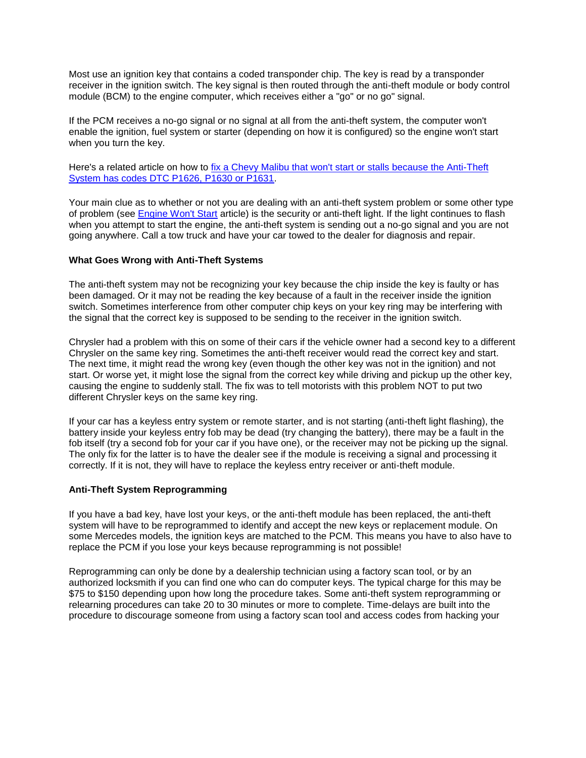Most use an ignition key that contains a coded transponder chip. The key is read by a transponder receiver in the ignition switch. The key signal is then routed through the anti-theft module or body control module (BCM) to the engine computer, which receives either a "go" or no go" signal.

If the PCM receives a no-go signal or no signal at all from the anti-theft system, the computer won't enable the ignition, fuel system or starter (depending on how it is configured) so the engine won't start when you turn the key.

Here's a related article on how to [fix a Chevy Malibu that won't start or stalls because the Anti-Theft](http://www.import-car.com/www/article/article.aspx?contentid=72742)  [System has codes DTC P1626, P1630 or P1631.](http://www.import-car.com/www/article/article.aspx?contentid=72742)

Your main clue as to whether or not you are dealing with an anti-theft system problem or some other type of problem (see [Engine Won't Start](http://www.aa1car.com/library/car_wont_start.htm) article) is the security or anti-theft light. If the light continues to flash when you attempt to start the engine, the anti-theft system is sending out a no-go signal and you are not going anywhere. Call a tow truck and have your car towed to the dealer for diagnosis and repair.

#### **What Goes Wrong with Anti-Theft Systems**

The anti-theft system may not be recognizing your key because the chip inside the key is faulty or has been damaged. Or it may not be reading the key because of a fault in the receiver inside the ignition switch. Sometimes interference from other computer chip keys on your key ring may be interfering with the signal that the correct key is supposed to be sending to the receiver in the ignition switch.

Chrysler had a problem with this on some of their cars if the vehicle owner had a second key to a different Chrysler on the same key ring. Sometimes the anti-theft receiver would read the correct key and start. The next time, it might read the wrong key (even though the other key was not in the ignition) and not start. Or worse yet, it might lose the signal from the correct key while driving and pickup up the other key, causing the engine to suddenly stall. The fix was to tell motorists with this problem NOT to put two different Chrysler keys on the same key ring.

If your car has a keyless entry system or remote starter, and is not starting (anti-theft light flashing), the battery inside your keyless entry fob may be dead (try changing the battery), there may be a fault in the fob itself (try a second fob for your car if you have one), or the receiver may not be picking up the signal. The only fix for the latter is to have the dealer see if the module is receiving a signal and processing it correctly. If it is not, they will have to replace the keyless entry receiver or anti-theft module.

#### **Anti-Theft System Reprogramming**

If you have a bad key, have lost your keys, or the anti-theft module has been replaced, the anti-theft system will have to be reprogrammed to identify and accept the new keys or replacement module. On some Mercedes models, the ignition keys are matched to the PCM. This means you have to also have to replace the PCM if you lose your keys because reprogramming is not possible!

Reprogramming can only be done by a dealership technician using a factory scan tool, or by an authorized locksmith if you can find one who can do computer keys. The typical charge for this may be \$75 to \$150 depending upon how long the procedure takes. Some anti-theft system reprogramming or relearning procedures can take 20 to 30 minutes or more to complete. Time-delays are built into the procedure to discourage someone from using a factory scan tool and access codes from hacking your